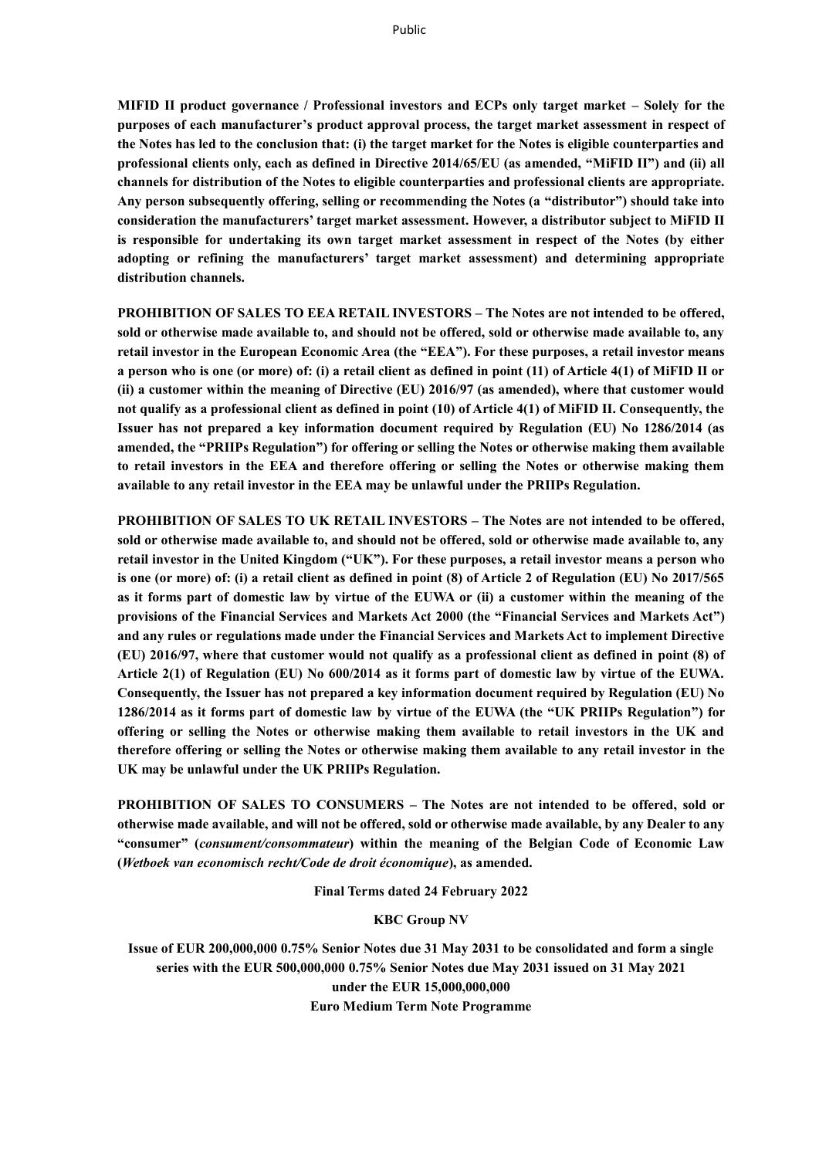**MIFID II product governance / Professional investors and ECPs only target market – Solely for the purposes of each manufacturer's product approval process, the target market assessment in respect of the Notes has led to the conclusion that: (i) the target market for the Notes is eligible counterparties and professional clients only, each as defined in Directive 2014/65/EU (as amended, "MiFID II") and (ii) all channels for distribution of the Notes to eligible counterparties and professional clients are appropriate. Any person subsequently offering, selling or recommending the Notes (a "distributor") should take into consideration the manufacturers' target market assessment. However, a distributor subject to MiFID II is responsible for undertaking its own target market assessment in respect of the Notes (by either adopting or refining the manufacturers' target market assessment) and determining appropriate distribution channels.**

**PROHIBITION OF SALES TO EEA RETAIL INVESTORS – The Notes are not intended to be offered, sold or otherwise made available to, and should not be offered, sold or otherwise made available to, any retail investor in the European Economic Area (the "EEA"). For these purposes, a retail investor means a person who is one (or more) of: (i) a retail client as defined in point (11) of Article 4(1) of MiFID II or (ii) a customer within the meaning of Directive (EU) 2016/97 (as amended), where that customer would not qualify as a professional client as defined in point (10) of Article 4(1) of MiFID II. Consequently, the Issuer has not prepared a key information document required by Regulation (EU) No 1286/2014 (as amended, the "PRIIPs Regulation") for offering or selling the Notes or otherwise making them available to retail investors in the EEA and therefore offering or selling the Notes or otherwise making them available to any retail investor in the EEA may be unlawful under the PRIIPs Regulation.**

**PROHIBITION OF SALES TO UK RETAIL INVESTORS – The Notes are not intended to be offered, sold or otherwise made available to, and should not be offered, sold or otherwise made available to, any retail investor in the United Kingdom ("UK"). For these purposes, a retail investor means a person who is one (or more) of: (i) a retail client as defined in point (8) of Article 2 of Regulation (EU) No 2017/565 as it forms part of domestic law by virtue of the EUWA or (ii) a customer within the meaning of the provisions of the Financial Services and Markets Act 2000 (the "Financial Services and Markets Act") and any rules or regulations made under the Financial Services and Markets Act to implement Directive (EU) 2016/97, where that customer would not qualify as a professional client as defined in point (8) of Article 2(1) of Regulation (EU) No 600/2014 as it forms part of domestic law by virtue of the EUWA. Consequently, the Issuer has not prepared a key information document required by Regulation (EU) No 1286/2014 as it forms part of domestic law by virtue of the EUWA (the "UK PRIIPs Regulation") for offering or selling the Notes or otherwise making them available to retail investors in the UK and therefore offering or selling the Notes or otherwise making them available to any retail investor in the UK may be unlawful under the UK PRIIPs Regulation.**

**PROHIBITION OF SALES TO CONSUMERS – The Notes are not intended to be offered, sold or otherwise made available, and will not be offered, sold or otherwise made available, by any Dealer to any "consumer" (***consument/consommateur***) within the meaning of the Belgian Code of Economic Law (***Wetboek van economisch recht/Code de droit économique***), as amended.**

**Final Terms dated 24 February 2022**

#### **KBC Group NV**

**Issue of EUR 200,000,000 0.75% Senior Notes due 31 May 2031 to be consolidated and form a single series with the EUR 500,000,000 0.75% Senior Notes due May 2031 issued on 31 May 2021 under the EUR 15,000,000,000 Euro Medium Term Note Programme**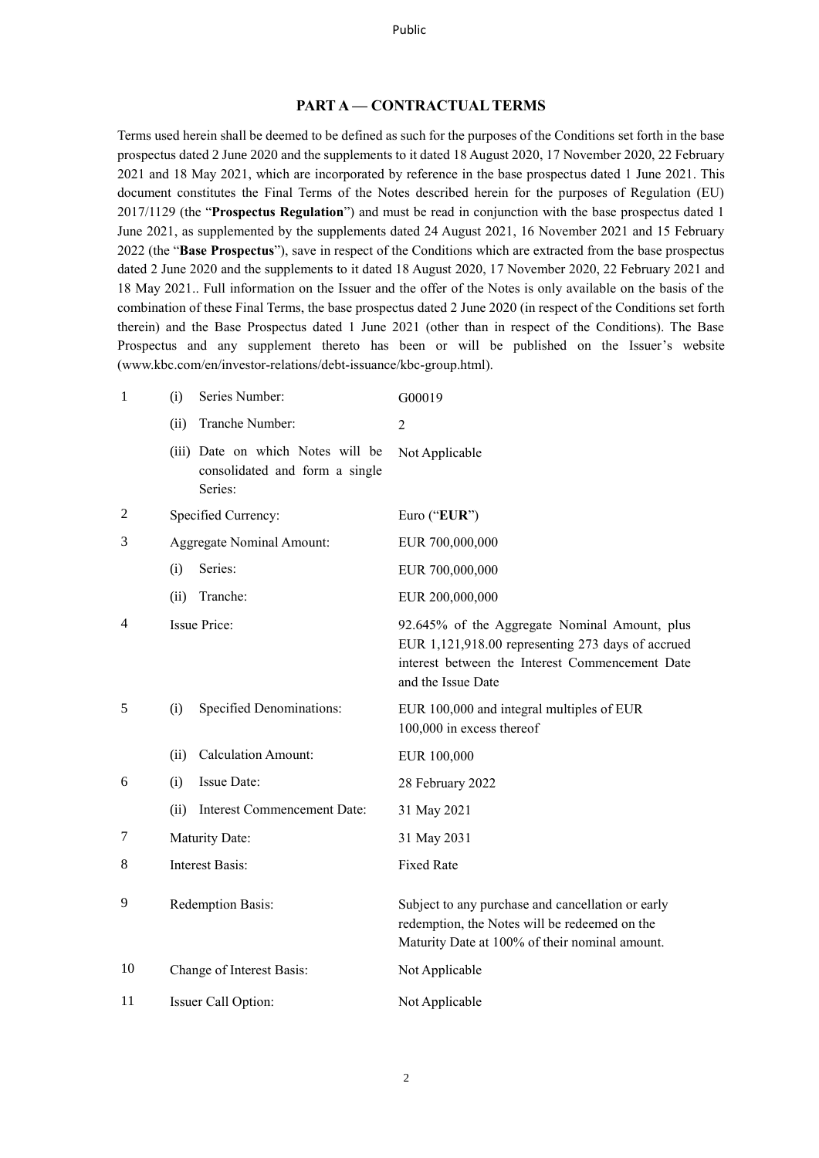### **PART A — CONTRACTUAL TERMS**

Terms used herein shall be deemed to be defined as such for the purposes of the Conditions set forth in the base prospectus dated 2 June 2020 and the supplements to it dated 18 August 2020, 17 November 2020, 22 February 2021 and 18 May 2021, which are incorporated by reference in the base prospectus dated 1 June 2021. This document constitutes the Final Terms of the Notes described herein for the purposes of Regulation (EU) 2017/1129 (the "**Prospectus Regulation**") and must be read in conjunction with the base prospectus dated 1 June 2021, as supplemented by the supplements dated 24 August 2021, 16 November 2021 and 15 February 2022 (the "**Base Prospectus**"), save in respect of the Conditions which are extracted from the base prospectus dated 2 June 2020 and the supplements to it dated 18 August 2020, 17 November 2020, 22 February 2021 and 18 May 2021.. Full information on the Issuer and the offer of the Notes is only available on the basis of the combination of these Final Terms, the base prospectus dated 2 June 2020 (in respect of the Conditions set forth therein) and the Base Prospectus dated 1 June 2021 (other than in respect of the Conditions). The Base Prospectus and any supplement thereto has been or will be published on the Issuer's website (www.kbc.com/en/investor-relations/debt-issuance/kbc-group.html).

| 1  | (i)                              | Series Number:                                                                 | G00019                                                                                                                                                                      |
|----|----------------------------------|--------------------------------------------------------------------------------|-----------------------------------------------------------------------------------------------------------------------------------------------------------------------------|
|    | (ii)                             | Tranche Number:                                                                | $\overline{2}$                                                                                                                                                              |
|    |                                  | (iii) Date on which Notes will be<br>consolidated and form a single<br>Series: | Not Applicable                                                                                                                                                              |
| 2  |                                  | Specified Currency:                                                            | Euro ("EUR")                                                                                                                                                                |
| 3  | <b>Aggregate Nominal Amount:</b> |                                                                                | EUR 700,000,000                                                                                                                                                             |
|    | (i)                              | Series:                                                                        | EUR 700,000,000                                                                                                                                                             |
|    | (ii)                             | Tranche:                                                                       | EUR 200,000,000                                                                                                                                                             |
| 4  |                                  | Issue Price:                                                                   | 92.645% of the Aggregate Nominal Amount, plus<br>EUR 1,121,918.00 representing 273 days of accrued<br>interest between the Interest Commencement Date<br>and the Issue Date |
| 5  | (i)                              | Specified Denominations:                                                       | EUR 100,000 and integral multiples of EUR<br>100,000 in excess thereof                                                                                                      |
|    | (ii)                             | <b>Calculation Amount:</b>                                                     | EUR 100,000                                                                                                                                                                 |
| 6  | (i)                              | Issue Date:                                                                    | 28 February 2022                                                                                                                                                            |
|    | (ii)                             | <b>Interest Commencement Date:</b>                                             | 31 May 2021                                                                                                                                                                 |
| 7  | Maturity Date:                   |                                                                                | 31 May 2031                                                                                                                                                                 |
| 8  | Interest Basis:                  |                                                                                | <b>Fixed Rate</b>                                                                                                                                                           |
| 9  | Redemption Basis:                |                                                                                | Subject to any purchase and cancellation or early<br>redemption, the Notes will be redeemed on the<br>Maturity Date at 100% of their nominal amount.                        |
| 10 |                                  | Change of Interest Basis:                                                      | Not Applicable                                                                                                                                                              |
| 11 |                                  | Issuer Call Option:                                                            | Not Applicable                                                                                                                                                              |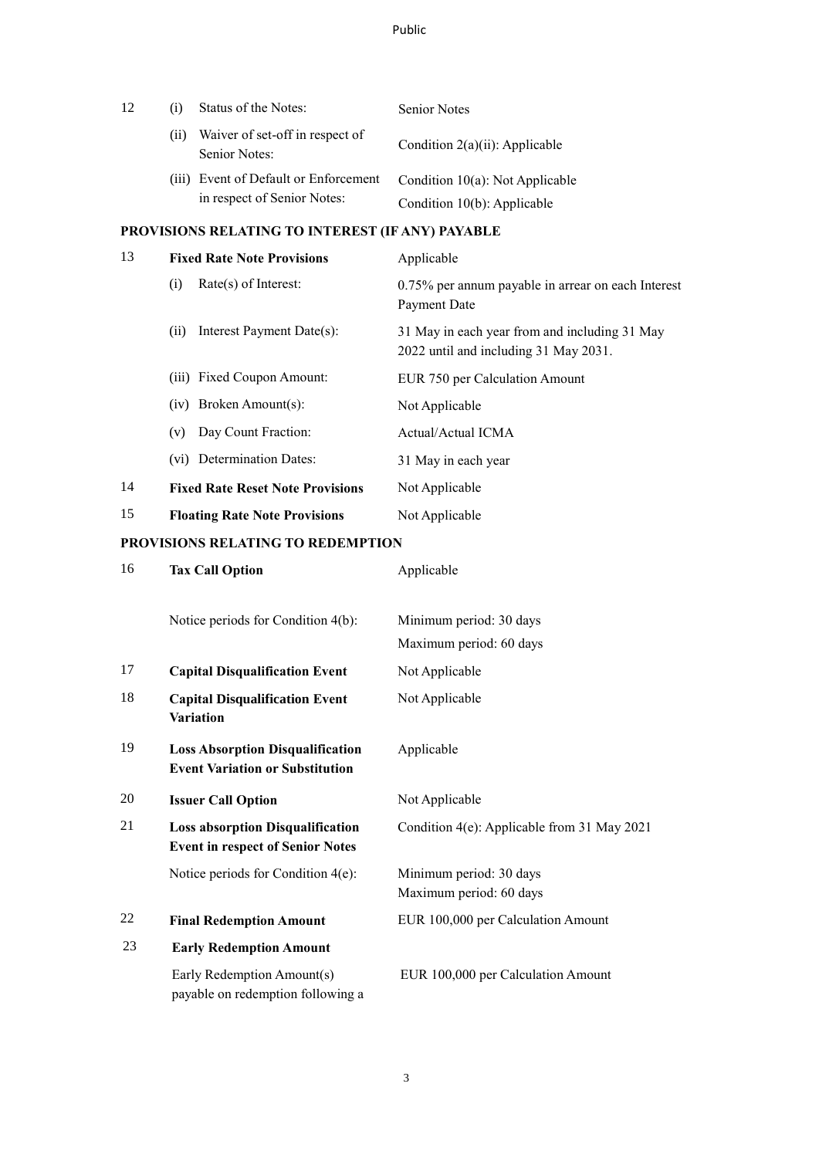| 12 | $\left(1\right)$ | Status of the Notes:                             | <b>Senior Notes</b>                |
|----|------------------|--------------------------------------------------|------------------------------------|
|    | (11)             | Waiver of set-off in respect of<br>Senior Notes: | Condition $2(a)(ii)$ : Applicable  |
|    |                  | (iii) Event of Default or Enforcement            | Condition $10(a)$ : Not Applicable |
|    |                  | in respect of Senior Notes:                      | Condition $10(b)$ : Applicable     |

# **PROVISIONS RELATING TO INTEREST (IF ANY) PAYABLE**

| 13 | <b>Fixed Rate Note Provisions</b>       | Applicable                                                                             |  |
|----|-----------------------------------------|----------------------------------------------------------------------------------------|--|
|    | $Rate(s)$ of Interest:<br>(i)           | 0.75% per annum payable in arrear on each Interest<br>Payment Date                     |  |
|    | Interest Payment Date(s):<br>(i)        | 31 May in each year from and including 31 May<br>2022 until and including 31 May 2031. |  |
|    | (iii) Fixed Coupon Amount:              | EUR 750 per Calculation Amount                                                         |  |
|    | $(iv)$ Broken Amount $(s)$ :            | Not Applicable                                                                         |  |
|    | Day Count Fraction:<br>(v)              | Actual/Actual ICMA                                                                     |  |
|    | (vi) Determination Dates:               | 31 May in each year                                                                    |  |
| 14 | <b>Fixed Rate Reset Note Provisions</b> | Not Applicable                                                                         |  |
| 15 | <b>Floating Rate Note Provisions</b>    | Not Applicable                                                                         |  |

# **PROVISIONS RELATING TO REDEMPTION**

| 16 | <b>Tax Call Option</b>                                                             | Applicable                                         |
|----|------------------------------------------------------------------------------------|----------------------------------------------------|
|    | Notice periods for Condition 4(b):                                                 | Minimum period: 30 days                            |
|    |                                                                                    | Maximum period: 60 days                            |
| 17 | <b>Capital Disqualification Event</b>                                              | Not Applicable                                     |
| 18 | <b>Capital Disqualification Event</b><br><b>Variation</b>                          | Not Applicable                                     |
| 19 | <b>Loss Absorption Disqualification</b><br><b>Event Variation or Substitution</b>  | Applicable                                         |
| 20 | <b>Issuer Call Option</b>                                                          | Not Applicable                                     |
| 21 | <b>Loss absorption Disqualification</b><br><b>Event in respect of Senior Notes</b> | Condition 4(e): Applicable from 31 May 2021        |
|    | Notice periods for Condition $4(e)$ :                                              | Minimum period: 30 days<br>Maximum period: 60 days |
| 22 | <b>Final Redemption Amount</b>                                                     | EUR 100,000 per Calculation Amount                 |
| 23 | <b>Early Redemption Amount</b>                                                     |                                                    |
|    | Early Redemption Amount(s)<br>payable on redemption following a                    | EUR 100,000 per Calculation Amount                 |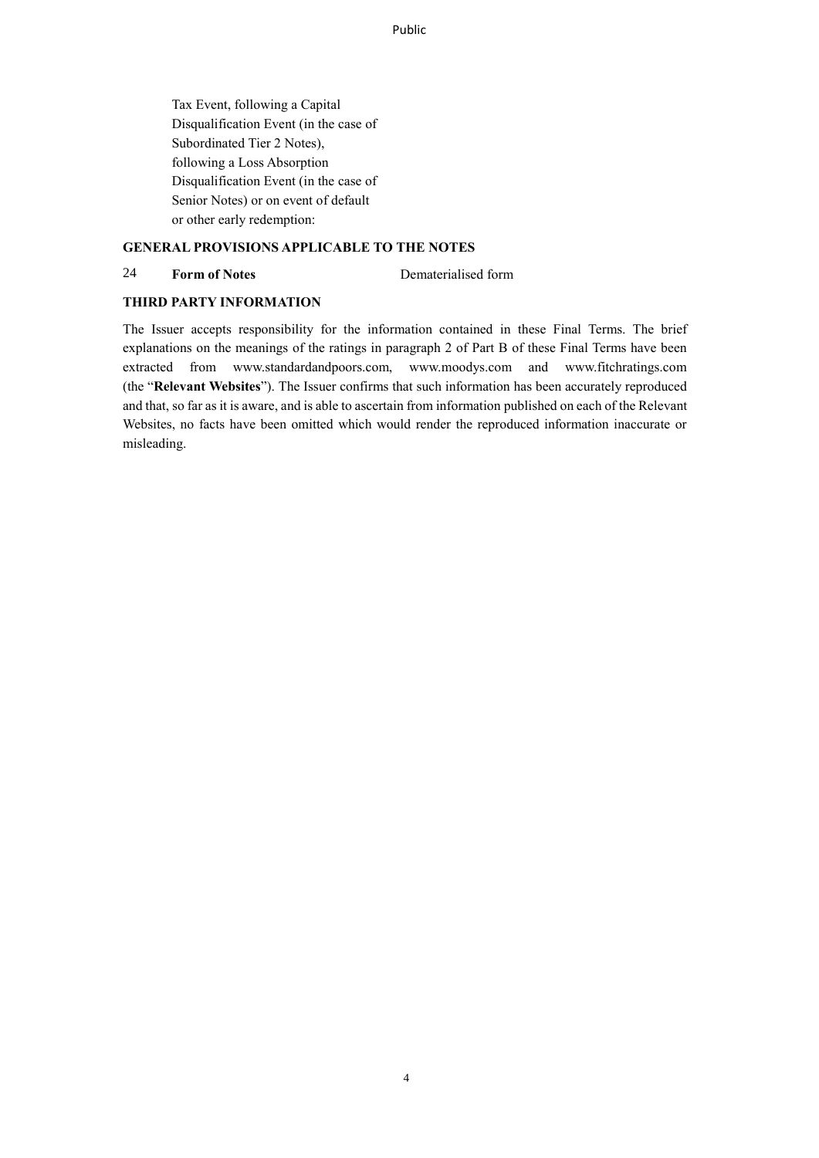Public

Tax Event, following a Capital Disqualification Event (in the case of Subordinated Tier 2 Notes), following a Loss Absorption Disqualification Event (in the case of Senior Notes) or on event of default or other early redemption:

#### **GENERAL PROVISIONS APPLICABLE TO THE NOTES**

## 24 **Form of Notes** Dematerialised form

#### **THIRD PARTY INFORMATION**

The Issuer accepts responsibility for the information contained in these Final Terms. The brief explanations on the meanings of the ratings in paragraph 2 of Part B of these Final Terms have been extracted from www.standardandpoors.com, www.moodys.com and www.fitchratings.com (the "**Relevant Websites**"). The Issuer confirms that such information has been accurately reproduced and that, so far as it is aware, and is able to ascertain from information published on each of the Relevant Websites, no facts have been omitted which would render the reproduced information inaccurate or misleading.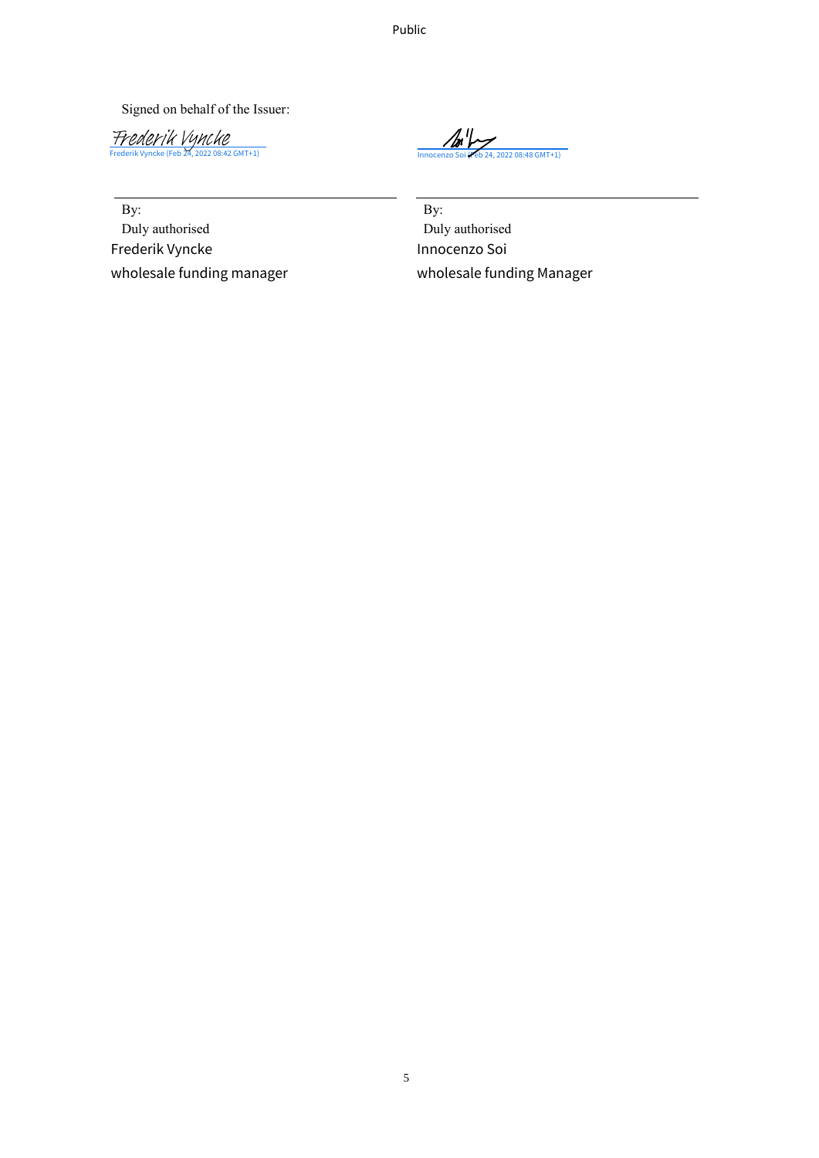Public

Signed on behalf of the Issuer:

<u>Frederik Vynche</u><br>[Frederik Vyncke](https://kbcprocurement.eu1.echosign.com/verifier?tx=CBJCHBCAABAA6VyptAZZeLbeDMGMFqT9DIRvZtryTDR-) (Feb 24, 2022 08:42 GMT+1)

 $\mathbb{Z}^{\prime\prime}$ 

By:

Duly authorised Frederik Vyncke

By: Duly authorised Frederik Vyncke (Feb 24, 2022 08:42 GMT+1)<br>
By:<br>
Duly authorised<br>
Frederik Vyncke<br>
Frederik Vyncke<br>
Innocenzo Soi Wholesale funding Manager<br>
Wholesale funding Manager<br>
Wholesale funding Manager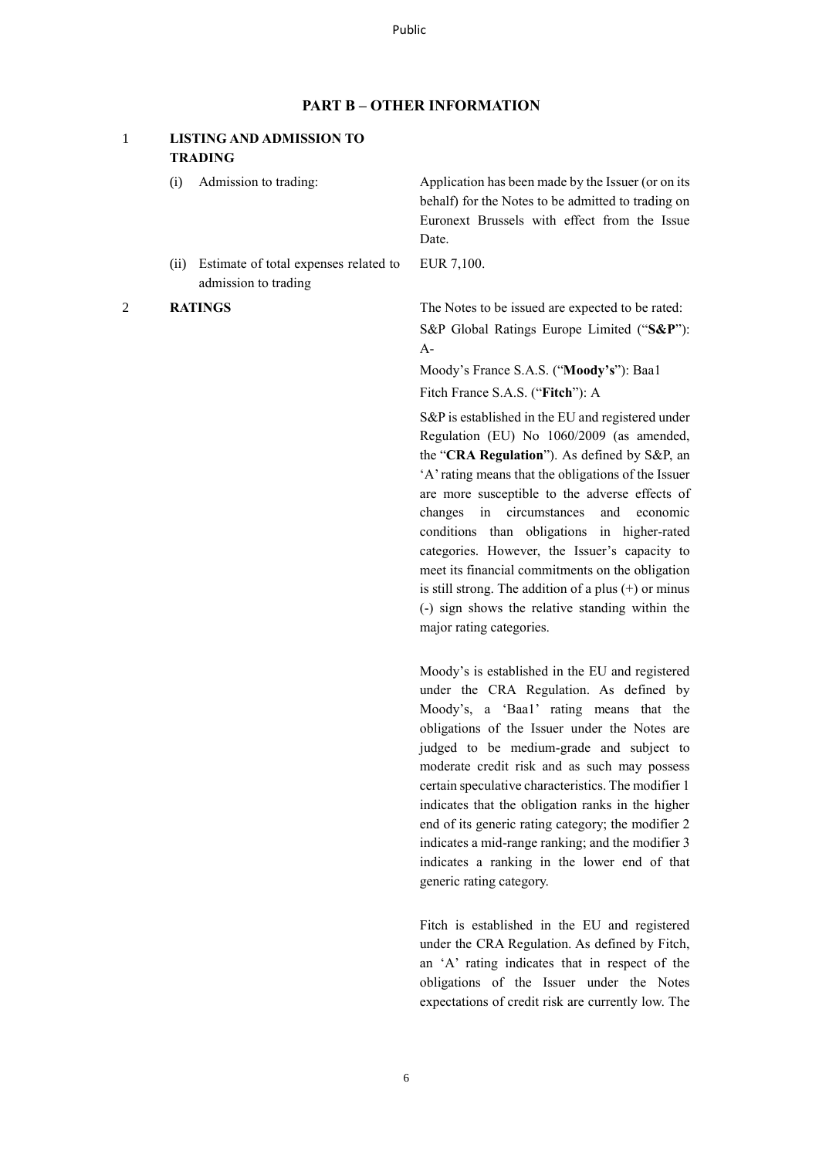### **PART B – OTHER INFORMATION**

### 1 **LISTING AND ADMISSION TO TRADING**

- 
- (ii) Estimate of total expenses related to admission to trading

(i) Admission to trading: Application has been made by the Issuer (or on its behalf) for the Notes to be admitted to trading on Euronext Brussels with effect from the Issue Date.

EUR 7,100.

2 **RATINGS** The Notes to be issued are expected to be rated: S&P Global Ratings Europe Limited ("**S&P**"): A-

> Moody's France S.A.S. ("**Moody's**"): Baa1 Fitch France S.A.S. ("**Fitch**"): A

S&P is established in the EU and registered under Regulation (EU) No 1060/2009 (as amended, the "**CRA Regulation**"). As defined by S&P, an 'A' rating means that the obligations of the Issuer are more susceptible to the adverse effects of changes in circumstances and economic conditions than obligations in higher-rated categories. However, the Issuer's capacity to meet its financial commitments on the obligation is still strong. The addition of a plus (+) or minus (-) sign shows the relative standing within the major rating categories.

Moody's is established in the EU and registered under the CRA Regulation. As defined by Moody's, a 'Baa1' rating means that the obligations of the Issuer under the Notes are judged to be medium-grade and subject to moderate credit risk and as such may possess certain speculative characteristics. The modifier 1 indicates that the obligation ranks in the higher end of its generic rating category; the modifier 2 indicates a mid-range ranking; and the modifier 3 indicates a ranking in the lower end of that generic rating category.

Fitch is established in the EU and registered under the CRA Regulation. As defined by Fitch, an 'A' rating indicates that in respect of the obligations of the Issuer under the Notes expectations of credit risk are currently low. The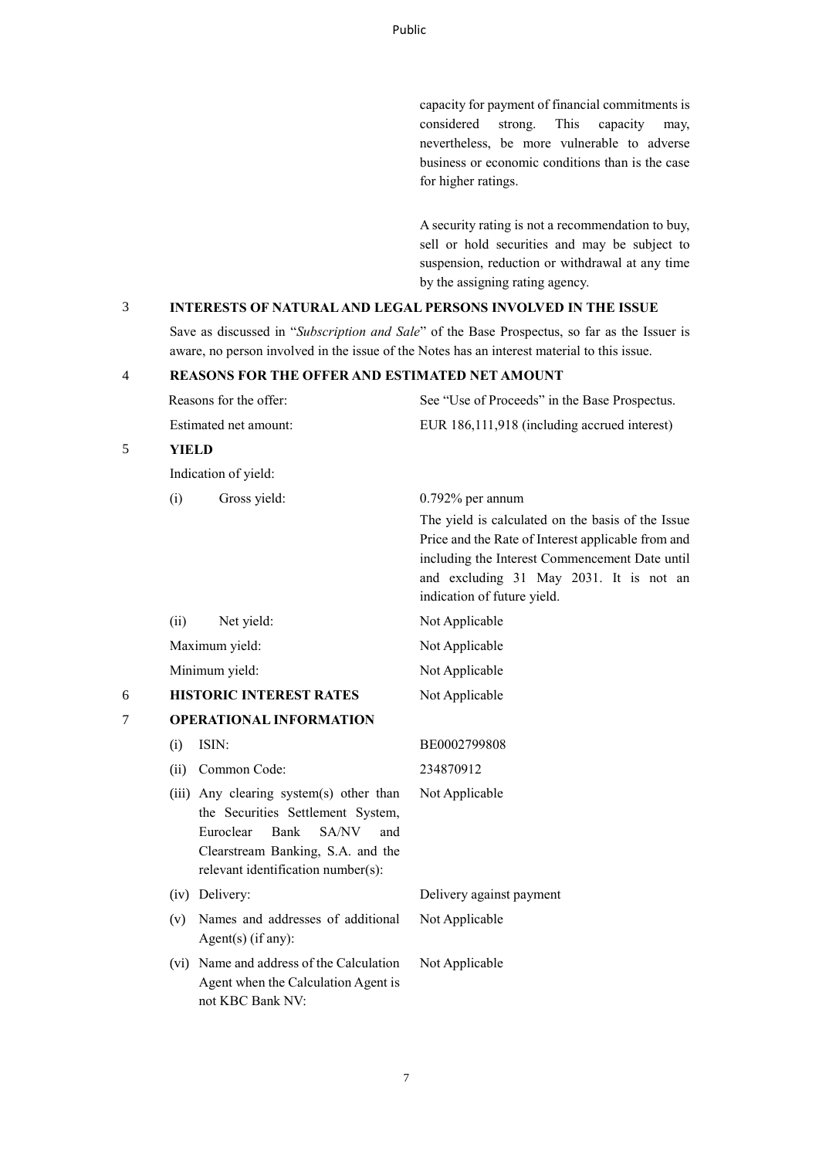capacity for payment of financial commitments is considered strong. This capacity may, nevertheless, be more vulnerable to adverse business or economic conditions than is the case for higher ratings.

A security rating is not a recommendation to buy, sell or hold securities and may be subject to suspension, reduction or withdrawal at any time by the assigning rating agency.

# 3 **INTERESTS OF NATURAL AND LEGAL PERSONS INVOLVED IN THE ISSUE**

Save as discussed in "*Subscription and Sale*" of the Base Prospectus, so far as the Issuer is aware, no person involved in the issue of the Notes has an interest material to this issue.

#### 4 **REASONS FOR THE OFFER AND ESTIMATED NET AMOUNT**

| Reasons for the offer: | See "Use of Proceeds" in the Base Prospectus. |
|------------------------|-----------------------------------------------|
| Estimated net amount:  | EUR 186,111,918 (including accrued interest)  |

# 5 **YIELD**

Indication of yield:

|   | (i)  | Gross yield:                                                                                                                                                                                 | $0.792\%$ per annum<br>The yield is calculated on the basis of the Issue<br>Price and the Rate of Interest applicable from and<br>including the Interest Commencement Date until<br>and excluding 31 May 2031. It is not an<br>indication of future yield. |
|---|------|----------------------------------------------------------------------------------------------------------------------------------------------------------------------------------------------|------------------------------------------------------------------------------------------------------------------------------------------------------------------------------------------------------------------------------------------------------------|
|   | (ii) | Net yield:                                                                                                                                                                                   | Not Applicable                                                                                                                                                                                                                                             |
|   |      | Maximum yield:                                                                                                                                                                               | Not Applicable                                                                                                                                                                                                                                             |
|   |      | Minimum yield:                                                                                                                                                                               | Not Applicable                                                                                                                                                                                                                                             |
| 6 |      | <b>HISTORIC INTEREST RATES</b>                                                                                                                                                               | Not Applicable                                                                                                                                                                                                                                             |
| 7 |      | <b>OPERATIONAL INFORMATION</b>                                                                                                                                                               |                                                                                                                                                                                                                                                            |
|   | (i)  | ISIN:                                                                                                                                                                                        | BE0002799808                                                                                                                                                                                                                                               |
|   | (ii) | Common Code:                                                                                                                                                                                 | 234870912                                                                                                                                                                                                                                                  |
|   |      | (iii) Any clearing system(s) other than<br>the Securities Settlement System,<br>Euroclear<br>Bank<br>SA/NV<br>and<br>Clearstream Banking, S.A. and the<br>relevant identification number(s): | Not Applicable                                                                                                                                                                                                                                             |
|   |      | (iv) Delivery:                                                                                                                                                                               | Delivery against payment                                                                                                                                                                                                                                   |
|   | (v)  | Names and addresses of additional<br>Agent $(s)$ (if any):                                                                                                                                   | Not Applicable                                                                                                                                                                                                                                             |
|   |      | (vi) Name and address of the Calculation<br>Agent when the Calculation Agent is<br>not KBC Bank NV:                                                                                          | Not Applicable                                                                                                                                                                                                                                             |